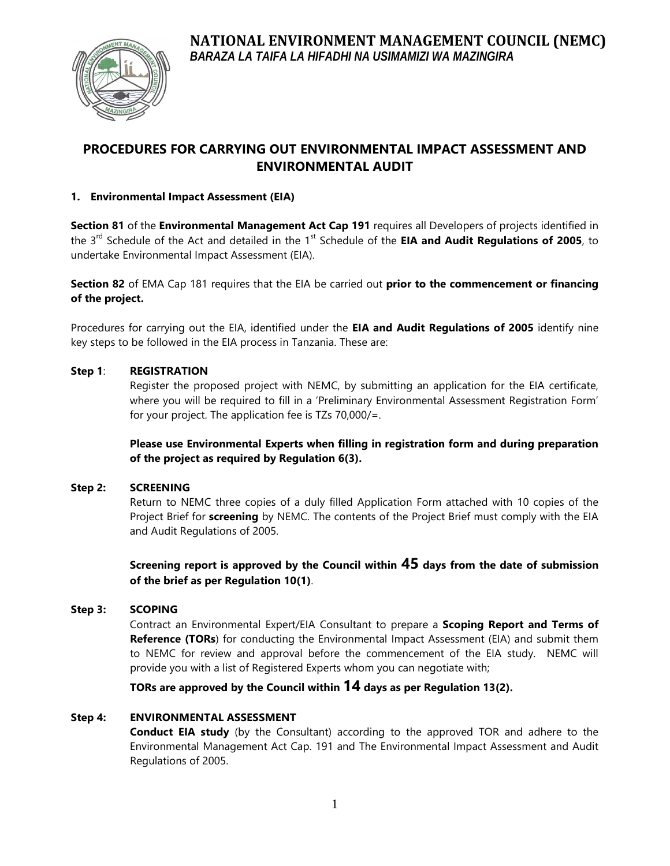

# **PROCEDURES FOR CARRYING OUT ENVIRONMENTAL IMPACT ASSESSMENT AND ENVIRONMENTAL AUDIT**

# **1. Environmental Impact Assessment (EIA)**

**Section 81** of the **Environmental Management Act Cap 191** requires all Developers of projects identified in the 3rd Schedule of the Act and detailed in the 1st Schedule of the **EIA and Audit Regulations of 2005**, to undertake Environmental Impact Assessment (EIA).

**Section 82** of EMA Cap 181 requires that the EIA be carried out **prior to the commencement or financing of the project.**

Procedures for carrying out the EIA, identified under the **EIA and Audit Regulations of 2005** identify nine key steps to be followed in the EIA process in Tanzania. These are:

# **Step 1**: **REGISTRATION**

Register the proposed project with NEMC, by submitting an application for the EIA certificate, where you will be required to fill in a 'Preliminary Environmental Assessment Registration Form' for your project. The application fee is TZs 70,000/=.

**Please use Environmental Experts when filling in registration form and during preparation of the project as required by Regulation 6(3).**

# **Step 2: SCREENING**

Return to NEMC three copies of a duly filled Application Form attached with 10 copies of the Project Brief for **screening** by NEMC. The contents of the Project Brief must comply with the EIA and Audit Regulations of 2005.

**Screening report is approved by the Council within 45 days from the date of submission of the brief as per Regulation 10(1)**.

# **Step 3: SCOPING**

Contract an Environmental Expert/EIA Consultant to prepare a **Scoping Report and Terms of Reference (TORs**) for conducting the Environmental Impact Assessment (EIA) and submit them to NEMC for review and approval before the commencement of the EIA study. NEMC will provide you with a list of Registered Experts whom you can negotiate with;

**TORs are approved by the Council within 14 days as per Regulation 13(2).**

# **Step 4: ENVIRONMENTAL ASSESSMENT**

**Conduct EIA study** (by the Consultant) according to the approved TOR and adhere to the Environmental Management Act Cap. 191 and The Environmental Impact Assessment and Audit Regulations of 2005.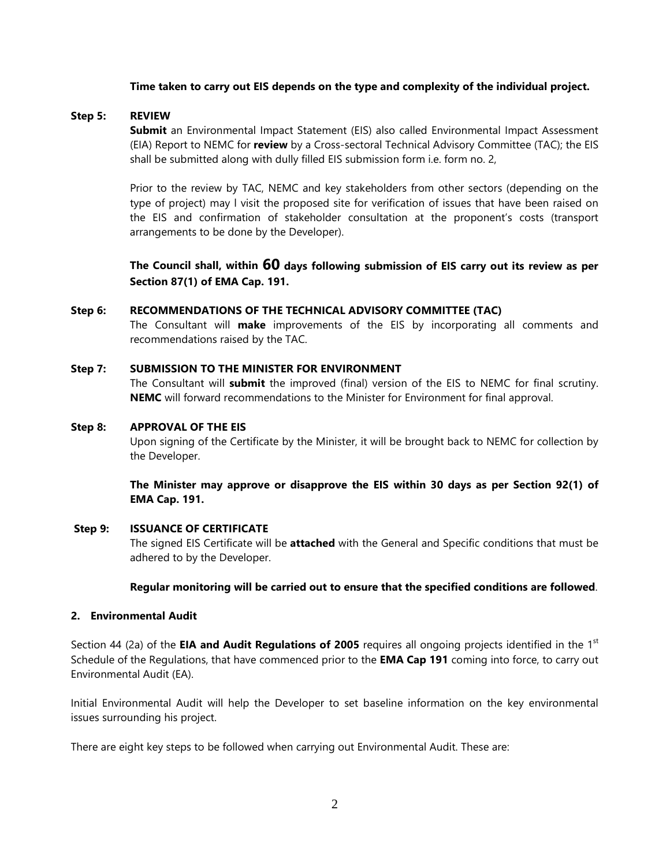### **Time taken to carry out EIS depends on the type and complexity of the individual project.**

### **Step 5: REVIEW**

**Submit** an Environmental Impact Statement (EIS) also called Environmental Impact Assessment (EIA) Report to NEMC for **review** by a Cross-sectoral Technical Advisory Committee (TAC); the EIS shall be submitted along with dully filled EIS submission form i.e. form no. 2,

Prior to the review by TAC, NEMC and key stakeholders from other sectors (depending on the type of project) may l visit the proposed site for verification of issues that have been raised on the EIS and confirmation of stakeholder consultation at the proponent's costs (transport arrangements to be done by the Developer).

**The Council shall, within 60 days following submission of EIS carry out its review as per Section 87(1) of EMA Cap. 191.**

### **Step 6: RECOMMENDATIONS OF THE TECHNICAL ADVISORY COMMITTEE (TAC)**

The Consultant will **make** improvements of the EIS by incorporating all comments and recommendations raised by the TAC.

# **Step 7: SUBMISSION TO THE MINISTER FOR ENVIRONMENT**

The Consultant will **submit** the improved (final) version of the EIS to NEMC for final scrutiny. **NEMC** will forward recommendations to the Minister for Environment for final approval.

### **Step 8: APPROVAL OF THE EIS**

Upon signing of the Certificate by the Minister, it will be brought back to NEMC for collection by the Developer.

**The Minister may approve or disapprove the EIS within 30 days as per Section 92(1) of EMA Cap. 191.**

#### **Step 9: ISSUANCE OF CERTIFICATE**

The signed EIS Certificate will be **attached** with the General and Specific conditions that must be adhered to by the Developer.

# **Regular monitoring will be carried out to ensure that the specified conditions are followed**.

#### **2. Environmental Audit**

Section 44 (2a) of the **EIA and Audit Regulations of 2005** requires all ongoing projects identified in the 1st Schedule of the Regulations, that have commenced prior to the **EMA Cap 191** coming into force, to carry out Environmental Audit (EA).

Initial Environmental Audit will help the Developer to set baseline information on the key environmental issues surrounding his project.

There are eight key steps to be followed when carrying out Environmental Audit. These are: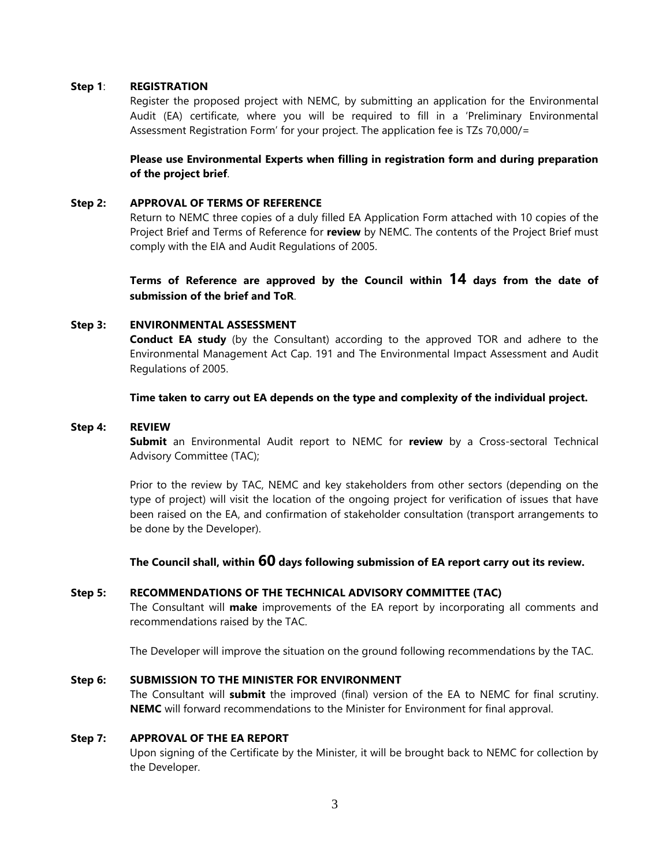#### **Step 1**: **REGISTRATION**

Register the proposed project with NEMC, by submitting an application for the Environmental Audit (EA) certificate, where you will be required to fill in a 'Preliminary Environmental Assessment Registration Form' for your project. The application fee is TZs 70,000/=

# **Please use Environmental Experts when filling in registration form and during preparation of the project brief**.

#### **Step 2: APPROVAL OF TERMS OF REFERENCE**

Return to NEMC three copies of a duly filled EA Application Form attached with 10 copies of the Project Brief and Terms of Reference for **review** by NEMC. The contents of the Project Brief must comply with the EIA and Audit Regulations of 2005.

**Terms of Reference are approved by the Council within 14 days from the date of submission of the brief and ToR**.

## **Step 3: ENVIRONMENTAL ASSESSMENT**

**Conduct EA study** (by the Consultant) according to the approved TOR and adhere to the Environmental Management Act Cap. 191 and The Environmental Impact Assessment and Audit Regulations of 2005.

### **Time taken to carry out EA depends on the type and complexity of the individual project.**

### **Step 4: REVIEW**

**Submit** an Environmental Audit report to NEMC for **review** by a Cross-sectoral Technical Advisory Committee (TAC);

Prior to the review by TAC, NEMC and key stakeholders from other sectors (depending on the type of project) will visit the location of the ongoing project for verification of issues that have been raised on the EA, and confirmation of stakeholder consultation (transport arrangements to be done by the Developer).

**The Council shall, within 60 days following submission of EA report carry out its review.**

# **Step 5: RECOMMENDATIONS OF THE TECHNICAL ADVISORY COMMITTEE (TAC)**

The Consultant will **make** improvements of the EA report by incorporating all comments and recommendations raised by the TAC.

The Developer will improve the situation on the ground following recommendations by the TAC.

### **Step 6: SUBMISSION TO THE MINISTER FOR ENVIRONMENT**

The Consultant will **submit** the improved (final) version of the EA to NEMC for final scrutiny. **NEMC** will forward recommendations to the Minister for Environment for final approval.

#### **Step 7: APPROVAL OF THE EA REPORT**

Upon signing of the Certificate by the Minister, it will be brought back to NEMC for collection by the Developer.